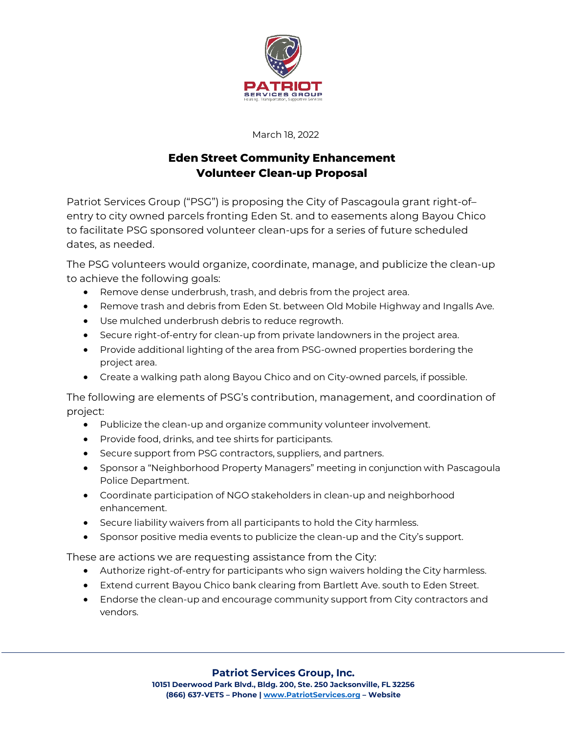

March 18, 2022

## **Eden Street Community Enhancement Volunteer Clean-up Proposal**

Patriot Services Group ("PSG") is proposing the City of Pascagoula grant right-of– entry to city owned parcels fronting Eden St. and to easements along Bayou Chico to facilitate PSG sponsored volunteer clean-ups for a series of future scheduled dates, as needed.

The PSG volunteers would organize, coordinate, manage, and publicize the clean-up to achieve the following goals:

- Remove dense underbrush, trash, and debris from the project area.
- Remove trash and debris from Eden St. between Old Mobile Highway and Ingalls Ave.
- Use mulched underbrush debris to reduce regrowth.
- Secure right-of-entry for clean-up from private landowners in the project area.
- Provide additional lighting of the area from PSG-owned properties bordering the project area.
- Create a walking path along Bayou Chico and on City-owned parcels, if possible.

The following are elements of PSG's contribution, management, and coordination of project:

- Publicize the clean-up and organize community volunteer involvement.
- Provide food, drinks, and tee shirts for participants.
- Secure support from PSG contractors, suppliers, and partners.
- Sponsor a "Neighborhood Property Managers" meeting in conjunction with Pascagoula Police Department.
- Coordinate participation of NGO stakeholders in clean-up and neighborhood enhancement.
- Secure liability waivers from all participants to hold the City harmless.
- Sponsor positive media events to publicize the clean-up and the City's support.

These are actions we are requesting assistance from the City:

- Authorize right-of-entry for participants who sign waivers holding the City harmless.
- Extend current Bayou Chico bank clearing from Bartlett Ave. south to Eden Street.
- Endorse the clean-up and encourage community support from City contractors and vendors.